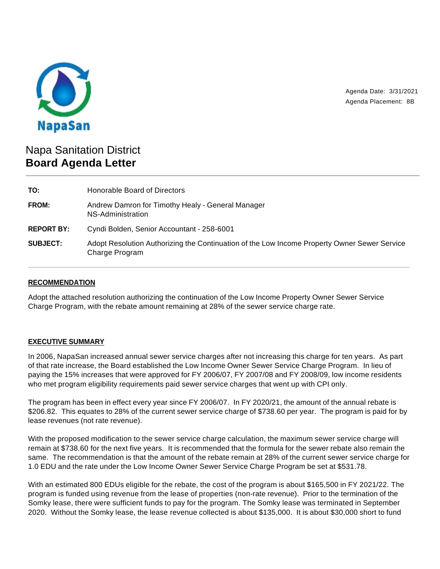

Agenda Date: 3/31/2021 Agenda Placement: 8B

# Napa Sanitation District **Board Agenda Letter**

| TO:               | Honorable Board of Directors                                                                                   |
|-------------------|----------------------------------------------------------------------------------------------------------------|
| <b>FROM:</b>      | Andrew Damron for Timothy Healy - General Manager<br>NS-Administration                                         |
| <b>REPORT BY:</b> | Cyndi Bolden, Senior Accountant - 258-6001                                                                     |
| <b>SUBJECT:</b>   | Adopt Resolution Authorizing the Continuation of the Low Income Property Owner Sewer Service<br>Charge Program |

## **RECOMMENDATION**

Adopt the attached resolution authorizing the continuation of the Low Income Property Owner Sewer Service Charge Program, with the rebate amount remaining at 28% of the sewer service charge rate.

## **EXECUTIVE SUMMARY**

In 2006, NapaSan increased annual sewer service charges after not increasing this charge for ten years. As part of that rate increase, the Board established the Low Income Owner Sewer Service Charge Program. In lieu of paying the 15% increases that were approved for FY 2006/07, FY 2007/08 and FY 2008/09, low income residents who met program eligibility requirements paid sewer service charges that went up with CPI only.

The program has been in effect every year since FY 2006/07. In FY 2020/21, the amount of the annual rebate is \$206.82. This equates to 28% of the current sewer service charge of \$738.60 per year. The program is paid for by lease revenues (not rate revenue).

With the proposed modification to the sewer service charge calculation, the maximum sewer service charge will remain at \$738.60 for the next five years. It is recommended that the formula for the sewer rebate also remain the same. The recommendation is that the amount of the rebate remain at 28% of the current sewer service charge for 1.0 EDU and the rate under the Low Income Owner Sewer Service Charge Program be set at \$531.78.

With an estimated 800 EDUs eligible for the rebate, the cost of the program is about \$165,500 in FY 2021/22. The program is funded using revenue from the lease of properties (non-rate revenue). Prior to the termination of the Somky lease, there were sufficient funds to pay for the program. The Somky lease was terminated in September 2020. Without the Somky lease, the lease revenue collected is about \$135,000. It is about \$30,000 short to fund